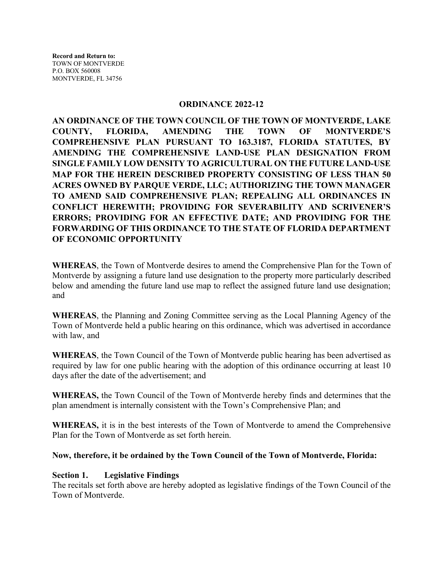#### **ORDINANCE 2022-12**

**AN ORDINANCE OF THE TOWN COUNCIL OF THE TOWN OF MONTVERDE, LAKE COUNTY, FLORIDA, AMENDING THE TOWN OF MONTVERDE'S COMPREHENSIVE PLAN PURSUANT TO 163.3187, FLORIDA STATUTES, BY AMENDING THE COMPREHENSIVE LAND-USE PLAN DESIGNATION FROM SINGLE FAMILY LOW DENSITY TO AGRICULTURAL ON THE FUTURE LAND-USE MAP FOR THE HEREIN DESCRIBED PROPERTY CONSISTING OF LESS THAN 50 ACRES OWNED BY PARQUE VERDE, LLC; AUTHORIZING THE TOWN MANAGER TO AMEND SAID COMPREHENSIVE PLAN; REPEALING ALL ORDINANCES IN CONFLICT HEREWITH; PROVIDING FOR SEVERABILITY AND SCRIVENER'S ERRORS; PROVIDING FOR AN EFFECTIVE DATE; AND PROVIDING FOR THE FORWARDING OF THIS ORDINANCE TO THE STATE OF FLORIDA DEPARTMENT OF ECONOMIC OPPORTUNITY** 

**WHEREAS**, the Town of Montverde desires to amend the Comprehensive Plan for the Town of Montverde by assigning a future land use designation to the property more particularly described below and amending the future land use map to reflect the assigned future land use designation; and

**WHEREAS**, the Planning and Zoning Committee serving as the Local Planning Agency of the Town of Montverde held a public hearing on this ordinance, which was advertised in accordance with law, and

**WHEREAS**, the Town Council of the Town of Montverde public hearing has been advertised as required by law for one public hearing with the adoption of this ordinance occurring at least 10 days after the date of the advertisement; and

**WHEREAS,** the Town Council of the Town of Montverde hereby finds and determines that the plan amendment is internally consistent with the Town's Comprehensive Plan; and

**WHEREAS,** it is in the best interests of the Town of Montverde to amend the Comprehensive Plan for the Town of Montverde as set forth herein.

#### **Now, therefore, it be ordained by the Town Council of the Town of Montverde, Florida:**

#### **Section 1. Legislative Findings**

The recitals set forth above are hereby adopted as legislative findings of the Town Council of the Town of Montverde.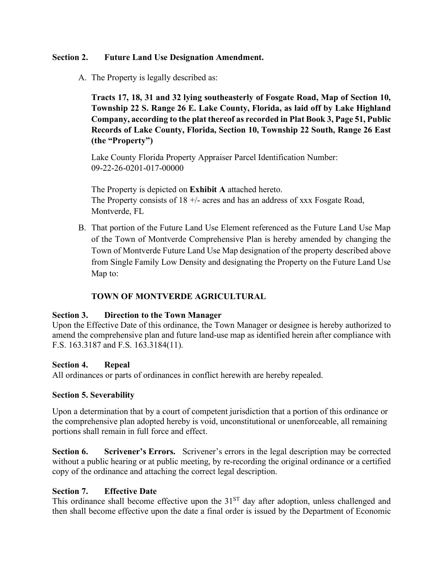## **Section 2. Future Land Use Designation Amendment.**

A. The Property is legally described as:

**Tracts 17, 18, 31 and 32 lying southeasterly of Fosgate Road, Map of Section 10, Township 22 S. Range 26 E. Lake County, Florida, as laid off by Lake Highland Company, according to the plat thereof as recorded in Plat Book 3, Page 51, Public Records of Lake County, Florida, Section 10, Township 22 South, Range 26 East (the "Property")**

Lake County Florida Property Appraiser Parcel Identification Number: 09-22-26-0201-017-00000

The Property is depicted on **Exhibit A** attached hereto. The Property consists of  $18 +$ - acres and has an address of xxx Fosgate Road, Montverde, FL

B. That portion of the Future Land Use Element referenced as the Future Land Use Map of the Town of Montverde Comprehensive Plan is hereby amended by changing the Town of Montverde Future Land Use Map designation of the property described above from Single Family Low Density and designating the Property on the Future Land Use Map to:

## **TOWN OF MONTVERDE AGRICULTURAL**

## **Section 3. Direction to the Town Manager**

Upon the Effective Date of this ordinance, the Town Manager or designee is hereby authorized to amend the comprehensive plan and future land-use map as identified herein after compliance with F.S. 163.3187 and F.S. 163.3184(11).

## **Section 4. Repeal**

All ordinances or parts of ordinances in conflict herewith are hereby repealed.

## **Section 5. Severability**

Upon a determination that by a court of competent jurisdiction that a portion of this ordinance or the comprehensive plan adopted hereby is void, unconstitutional or unenforceable, all remaining portions shall remain in full force and effect.

**Section 6. Scrivener's Errors.** Scrivener's errors in the legal description may be corrected without a public hearing or at public meeting, by re-recording the original ordinance or a certified copy of the ordinance and attaching the correct legal description.

## **Section 7. Effective Date**

This ordinance shall become effective upon the 31<sup>ST</sup> day after adoption, unless challenged and then shall become effective upon the date a final order is issued by the Department of Economic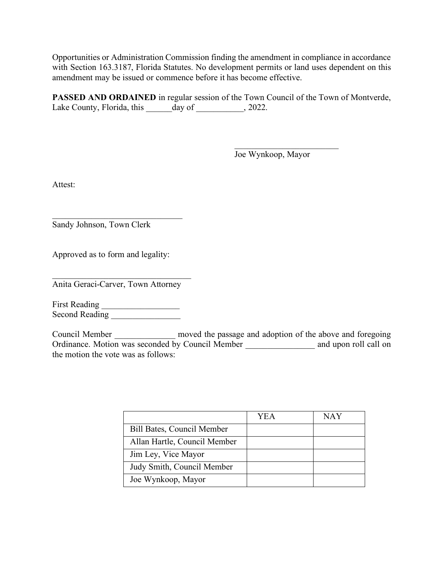Opportunities or Administration Commission finding the amendment in compliance in accordance with Section 163.3187, Florida Statutes. No development permits or land uses dependent on this amendment may be issued or commence before it has become effective.

**PASSED AND ORDAINED** in regular session of the Town Council of the Town of Montverde, Lake County, Florida, this day of 3022.

Joe Wynkoop, Mayor

\_\_\_\_\_\_\_\_\_\_\_\_\_\_\_\_\_\_\_\_\_\_\_\_

Attest:

Sandy Johnson, Town Clerk

Approved as to form and legality:

 $\mathcal{L}_\text{max}$ 

 $\mathcal{L}=\{1,2,3,4,5\}$ Anita Geraci-Carver, Town Attorney

First Reading \_\_\_\_\_\_\_\_\_\_\_\_\_\_\_\_\_\_ Second Reading \_\_\_\_\_\_\_\_\_\_\_\_\_\_\_\_

Council Member moved the passage and adoption of the above and foregoing Ordinance. Motion was seconded by Council Member \_\_\_\_\_\_\_\_\_\_\_\_\_\_\_\_ and upon roll call on the motion the vote was as follows:

|                              | YEA | NAY |
|------------------------------|-----|-----|
| Bill Bates, Council Member   |     |     |
| Allan Hartle, Council Member |     |     |
| Jim Ley, Vice Mayor          |     |     |
| Judy Smith, Council Member   |     |     |
| Joe Wynkoop, Mayor           |     |     |